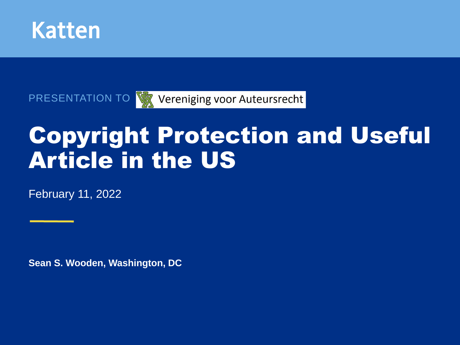

PRESENTATION TO V Vereniging voor Auteursrecht

# Copyright Protection and Useful Article in the US

February 11, 2022

**Sean S. Wooden, Washington, DC**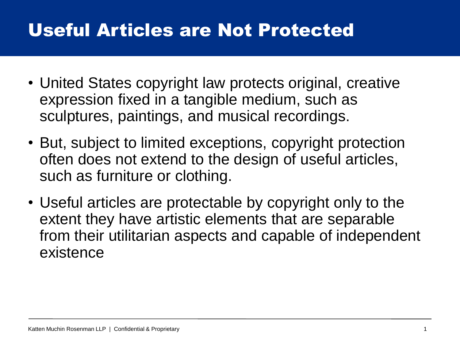# Useful Articles are Not Protected

- United States copyright law protects original, creative expression fixed in a tangible medium, such as sculptures, paintings, and musical recordings.
- But, subject to limited exceptions, copyright protection often does not extend to the design of useful articles, such as furniture or clothing.
- Useful articles are protectable by copyright only to the extent they have artistic elements that are separable from their utilitarian aspects and capable of independent existence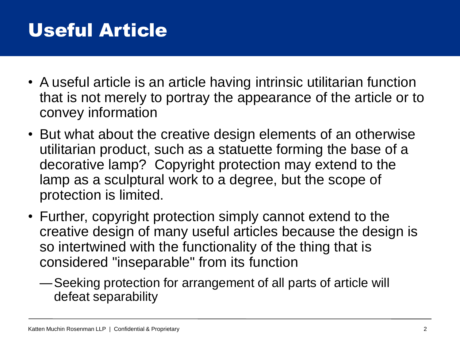# Useful Article

- A useful article is an article having intrinsic utilitarian function that is not merely to portray the appearance of the article or to convey information
- But what about the creative design elements of an otherwise utilitarian product, such as a statuette forming the base of a decorative lamp? Copyright protection may extend to the lamp as a sculptural work to a degree, but the scope of protection is limited.
- Further, copyright protection simply cannot extend to the creative design of many useful articles because the design is so intertwined with the functionality of the thing that is considered "inseparable" from its function
	- —Seeking protection for arrangement of all parts of article will defeat separability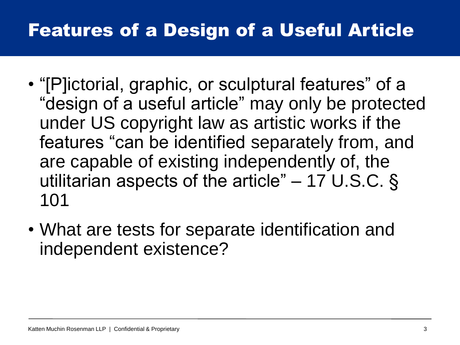# Features of a Design of a Useful Article

- "[P]ictorial, graphic, or sculptural features" of a "design of a useful article" may only be protected under US copyright law as artistic works if the features "can be identified separately from, and are capable of existing independently of, the utilitarian aspects of the article" – 17 U.S.C. § 101
- What are tests for separate identification and independent existence?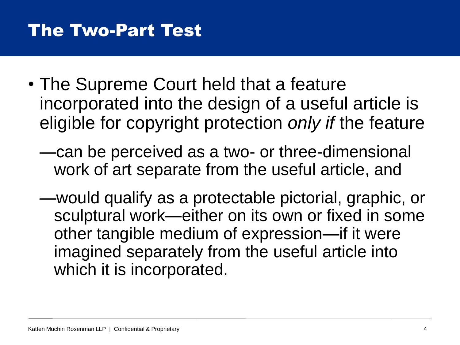### The Two-Part Test

- The Supreme Court held that a feature incorporated into the design of a useful article is eligible for copyright protection *only if* the feature
	- —can be perceived as a two- or three-dimensional work of art separate from the useful article, and
	- —would qualify as a protectable pictorial, graphic, or sculptural work—either on its own or fixed in some other tangible medium of expression—if it were imagined separately from the useful article into which it is incorporated.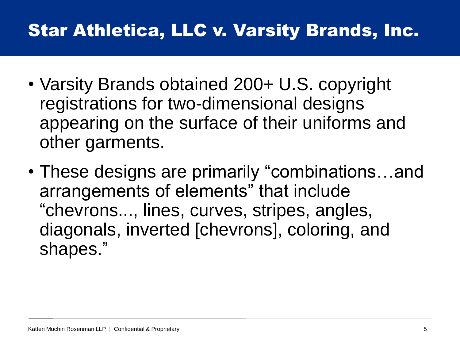# Star Athletica, LLC v. Varsity Brands, Inc.

- Varsity Brands obtained 200+ U.S. copyright registrations for two-dimensional designs appearing on the surface of their uniforms and other garments.
- These designs are primarily "combinations…and arrangements of elements" that include "chevrons..., lines, curves, stripes, angles, diagonals, inverted [chevrons], coloring, and shapes."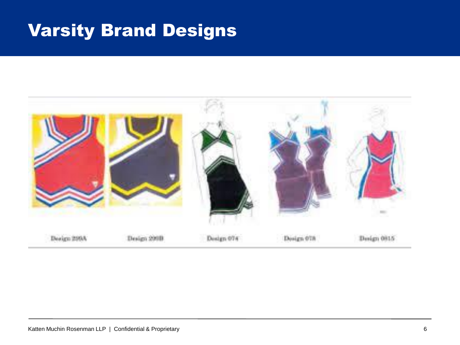### Varsity Brand Designs

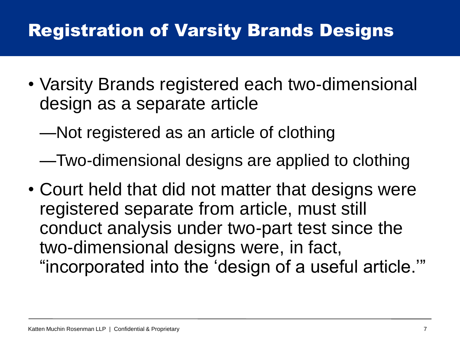### Registration of Varsity Brands Designs

- Varsity Brands registered each two-dimensional design as a separate article
	- —Not registered as an article of clothing
	- —Two-dimensional designs are applied to clothing
- Court held that did not matter that designs were registered separate from article, must still conduct analysis under two-part test since the two-dimensional designs were, in fact, "incorporated into the 'design of a useful article.'"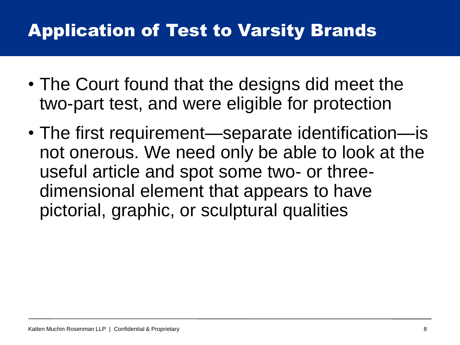# Application of Test to Varsity Brands

- The Court found that the designs did meet the two-part test, and were eligible for protection
- The first requirement—separate identification—is not onerous. We need only be able to look at the useful article and spot some two- or threedimensional element that appears to have pictorial, graphic, or sculptural qualities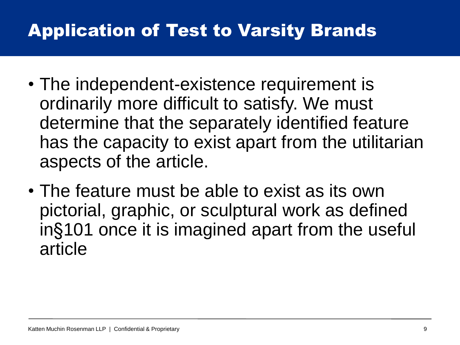# Application of Test to Varsity Brands

- The independent-existence requirement is ordinarily more difficult to satisfy. We must determine that the separately identified feature has the capacity to exist apart from the utilitarian aspects of the article.
- The feature must be able to exist as its own pictorial, graphic, or sculptural work as defined in§101 once it is imagined apart from the useful article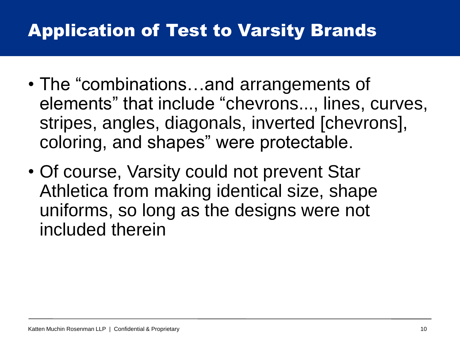# Application of Test to Varsity Brands

- The "combinations…and arrangements of elements" that include "chevrons..., lines, curves, stripes, angles, diagonals, inverted [chevrons], coloring, and shapes" were protectable.
- Of course, Varsity could not prevent Star Athletica from making identical size, shape uniforms, so long as the designs were not included therein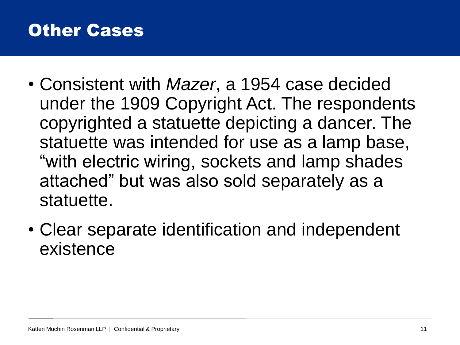### Other Cases

- Consistent with *Mazer*, a 1954 case decided under the 1909 Copyright Act. The respondents copyrighted a statuette depicting a dancer. The statuette was intended for use as a lamp base, "with electric wiring, sockets and lamp shades attached" but was also sold separately as a statuette.
- Clear separate identification and independent existence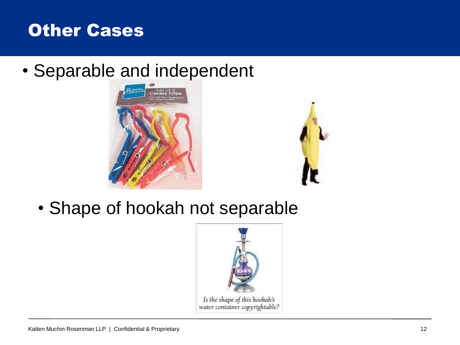

• Separable and independent





• Shape of hookah not separable

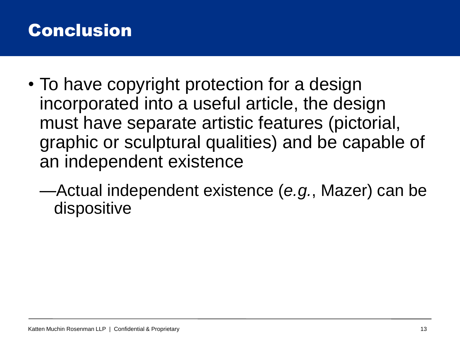### **Conclusion**

- To have copyright protection for a design incorporated into a useful article, the design must have separate artistic features (pictorial, graphic or sculptural qualities) and be capable of an independent existence
	- —Actual independent existence (*e.g.*, Mazer) can be dispositive